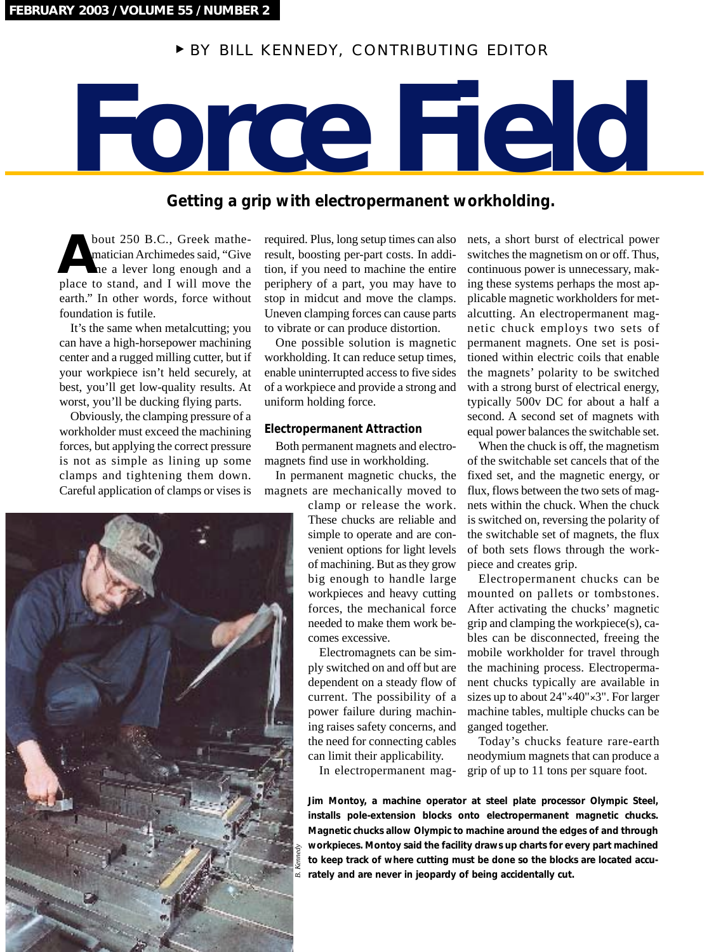# <sup>❿</sup> BY BILL KENNEDY, CONTRIBUTING EDITOR

# **Force Field**

# **Getting a grip with electropermanent workholding.**

bout 250 B.C., Greek mathematician Archimedes said, "Give me a lever long enough and a **A** bout 250 B.C., Greek mathematician Archimedes said, "Give me a lever long enough and a place to stand, and I will move the earth." In other words, force without foundation is futile.

It's the same when metalcutting; you can have a high-horsepower machining center and a rugged milling cutter, but if your workpiece isn't held securely, at best, you'll get low-quality results. At worst, you'll be ducking flying parts.

Obviously, the clamping pressure of a workholder must exceed the machining forces, but applying the correct pressure is not as simple as lining up some clamps and tightening them down. Careful application of clamps or vises is



One possible solution is magnetic workholding. It can reduce setup times, enable uninterrupted access to five sides of a workpiece and provide a strong and uniform holding force.

### **Electropermanent Attraction**

Both permanent magnets and electromagnets find use in workholding.

In permanent magnetic chucks, the magnets are mechanically moved to

> clamp or release the work. These chucks are reliable and simple to operate and are convenient options for light levels of machining. But as they grow big enough to handle large workpieces and heavy cutting forces, the mechanical force needed to make them work becomes excessive.

Electromagnets can be simply switched on and off but are dependent on a steady flow of current. The possibility of a power failure during machining raises safety concerns, and the need for connecting cables can limit their applicability.

In electropermanent mag-

nets, a short burst of electrical power switches the magnetism on or off. Thus, continuous power is unnecessary, making these systems perhaps the most applicable magnetic workholders for metalcutting. An electropermanent magnetic chuck employs two sets of permanent magnets. One set is positioned within electric coils that enable the magnets' polarity to be switched with a strong burst of electrical energy, typically 500v DC for about a half a second. A second set of magnets with equal power balances the switchable set.

When the chuck is off, the magnetism of the switchable set cancels that of the fixed set, and the magnetic energy, or flux, flows between the two sets of magnets within the chuck. When the chuck is switched on, reversing the polarity of the switchable set of magnets, the flux of both sets flows through the workpiece and creates grip.

Electropermanent chucks can be mounted on pallets or tombstones. After activating the chucks' magnetic grip and clamping the workpiece(s), cables can be disconnected, freeing the mobile workholder for travel through the machining process. Electropermanent chucks typically are available in sizes up to about  $24" \times 40" \times 3"$ . For larger machine tables, multiple chucks can be ganged together.

Today's chucks feature rare-earth neodymium magnets that can produce a grip of up to 11 tons per square foot.

**Jim Montoy, a machine operator at steel plate processor Olympic Steel, installs pole-extension blocks onto electropermanent magnetic chucks. Magnetic chucks allow Olympic to machine around the edges of and through workpieces. Montoy said the facility draws up charts for every part machined to keep track of where cutting must be done so the blocks are located accurately and are never in jeopardy of being accidentally cut.** 

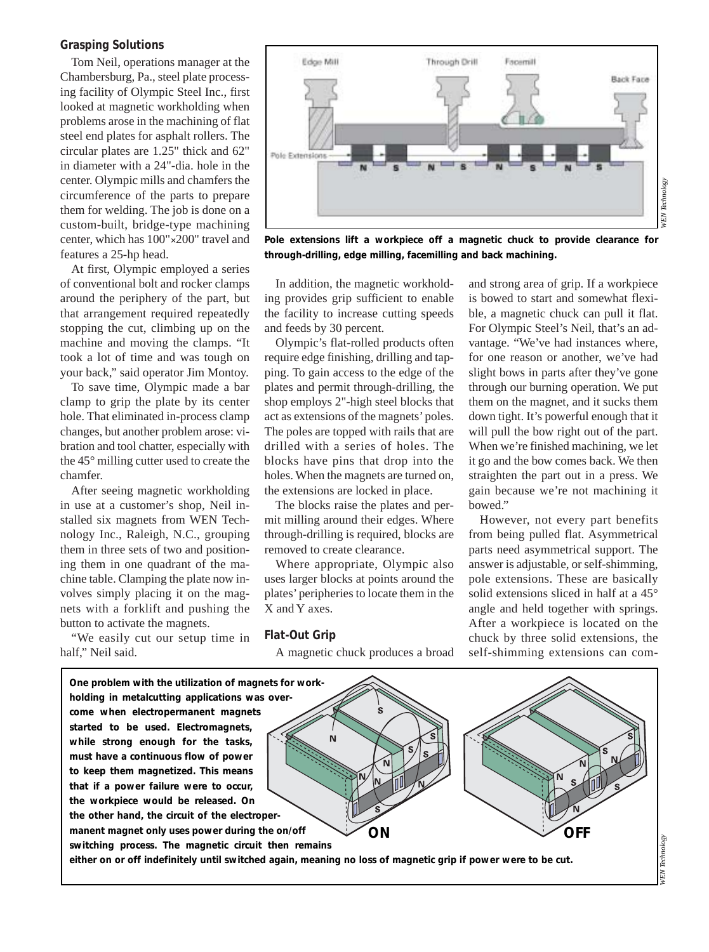### **Grasping Solutions**

Tom Neil, operations manager at the Chambersburg, Pa., steel plate processing facility of Olympic Steel Inc., first looked at magnetic workholding when problems arose in the machining of flat steel end plates for asphalt rollers. The circular plates are 1.25" thick and 62" in diameter with a 24"-dia. hole in the center. Olympic mills and chamfers the circumference of the parts to prepare them for welding. The job is done on a custom-built, bridge-type machining center, which has 100"✕200" travel and features a 25-hp head.

At first, Olympic employed a series of conventional bolt and rocker clamps around the periphery of the part, but that arrangement required repeatedly stopping the cut, climbing up on the machine and moving the clamps. "It took a lot of time and was tough on your back," said operator Jim Montoy.

To save time, Olympic made a bar clamp to grip the plate by its center hole. That eliminated in-process clamp changes, but another problem arose: vibration and tool chatter, especially with the 45° milling cutter used to create the chamfer.

After seeing magnetic workholding in use at a customer's shop, Neil installed six magnets from WEN Technology Inc., Raleigh, N.C., grouping them in three sets of two and positioning them in one quadrant of the machine table. Clamping the plate now involves simply placing it on the magnets with a forklift and pushing the button to activate the magnets.

"We easily cut our setup time in half." Neil said.



**Pole extensions lift a workpiece off a magnetic chuck to provide clearance for through-drilling, edge milling, facemilling and back machining.**

In addition, the magnetic workholding provides grip sufficient to enable the facility to increase cutting speeds and feeds by 30 percent.

Olympic's flat-rolled products often require edge finishing, drilling and tapping. To gain access to the edge of the plates and permit through-drilling, the shop employs 2"-high steel blocks that act as extensions of the magnets' poles. The poles are topped with rails that are drilled with a series of holes. The blocks have pins that drop into the holes. When the magnets are turned on, the extensions are locked in place.

The blocks raise the plates and permit milling around their edges. Where through-drilling is required, blocks are removed to create clearance.

Where appropriate, Olympic also uses larger blocks at points around the plates' peripheries to locate them in the X and Y axes.

### **Flat-Out Grip**

A magnetic chuck produces a broad

and strong area of grip. If a workpiece is bowed to start and somewhat flexible, a magnetic chuck can pull it flat. For Olympic Steel's Neil, that's an advantage. "We've had instances where, for one reason or another, we've had slight bows in parts after they've gone through our burning operation. We put them on the magnet, and it sucks them down tight. It's powerful enough that it will pull the bow right out of the part. When we're finished machining, we let it go and the bow comes back. We then straighten the part out in a press. We gain because we're not machining it bowed."

However, not every part benefits from being pulled flat. Asymmetrical parts need asymmetrical support. The answer is adjustable, or self-shimming, pole extensions. These are basically solid extensions sliced in half at a 45° angle and held together with springs. After a workpiece is located on the chuck by three solid extensions, the self-shimming extensions can com-



*WEN Technology* **VEN** Technology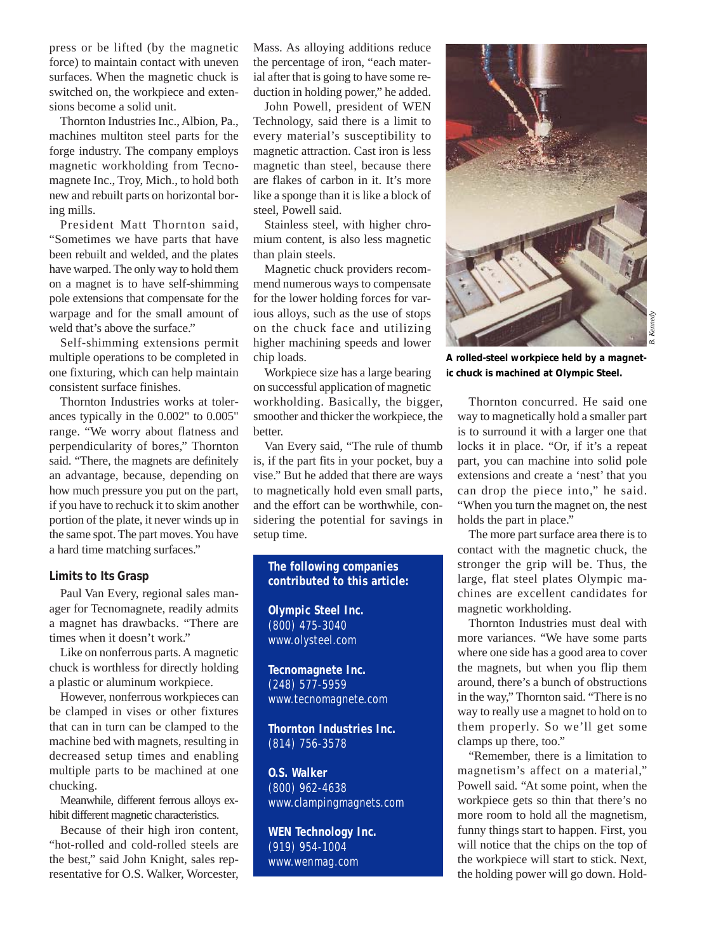press or be lifted (by the magnetic force) to maintain contact with uneven surfaces. When the magnetic chuck is switched on, the workpiece and extensions become a solid unit.

Thornton Industries Inc., Albion, Pa., machines multiton steel parts for the forge industry. The company employs magnetic workholding from Tecnomagnete Inc., Troy, Mich., to hold both new and rebuilt parts on horizontal boring mills.

President Matt Thornton said, "Sometimes we have parts that have been rebuilt and welded, and the plates have warped. The only way to hold them on a magnet is to have self-shimming pole extensions that compensate for the warpage and for the small amount of weld that's above the surface."

Self-shimming extensions permit multiple operations to be completed in one fixturing, which can help maintain consistent surface finishes.

Thornton Industries works at tolerances typically in the 0.002" to 0.005" range. "We worry about flatness and perpendicularity of bores," Thornton said. "There, the magnets are definitely an advantage, because, depending on how much pressure you put on the part, if you have to rechuck it to skim another portion of the plate, it never winds up in the same spot. The part moves. You have a hard time matching surfaces."

### **Limits to Its Grasp**

Paul Van Every, regional sales manager for Tecnomagnete, readily admits a magnet has drawbacks. "There are times when it doesn't work."

Like on nonferrous parts. A magnetic chuck is worthless for directly holding a plastic or aluminum workpiece.

However, nonferrous workpieces can be clamped in vises or other fixtures that can in turn can be clamped to the machine bed with magnets, resulting in decreased setup times and enabling multiple parts to be machined at one chucking.

Meanwhile, different ferrous alloys exhibit different magnetic characteristics.

Because of their high iron content, "hot-rolled and cold-rolled steels are the best," said John Knight, sales representative for O.S. Walker, Worcester, Mass. As alloying additions reduce the percentage of iron, "each material after that is going to have some reduction in holding power," he added.

John Powell, president of WEN Technology, said there is a limit to every material's susceptibility to magnetic attraction. Cast iron is less magnetic than steel, because there are flakes of carbon in it. It's more like a sponge than it is like a block of steel, Powell said.

Stainless steel, with higher chromium content, is also less magnetic than plain steels.

Magnetic chuck providers recommend numerous ways to compensate for the lower holding forces for various alloys, such as the use of stops on the chuck face and utilizing higher machining speeds and lower chip loads.

Workpiece size has a large bearing on successful application of magnetic workholding. Basically, the bigger, smoother and thicker the workpiece, the better.

Van Every said, "The rule of thumb is, if the part fits in your pocket, buy a vise." But he added that there are ways to magnetically hold even small parts, and the effort can be worthwhile, considering the potential for savings in setup time.

## **The following companies contributed to this article:**

**Olympic Steel Inc.**  (800) 475-3040 www.olysteel.com

**Tecnomagnete Inc.** (248) 577-5959 www.tecnomagnete.com

**Thornton Industries Inc.** (814) 756-3578

**O.S. Walker** (800) 962-4638 www.clampingmagnets.com

**WEN Technology Inc.** (919) 954-1004 www.wenmag.com



**A rolled-steel workpiece held by a magnetic chuck is machined at Olympic Steel.**

Thornton concurred. He said one way to magnetically hold a smaller part is to surround it with a larger one that locks it in place. "Or, if it's a repeat part, you can machine into solid pole extensions and create a 'nest' that you can drop the piece into," he said. "When you turn the magnet on, the nest holds the part in place."

The more part surface area there is to contact with the magnetic chuck, the stronger the grip will be. Thus, the large, flat steel plates Olympic machines are excellent candidates for magnetic workholding.

Thornton Industries must deal with more variances. "We have some parts where one side has a good area to cover the magnets, but when you flip them around, there's a bunch of obstructions in the way," Thornton said. "There is no way to really use a magnet to hold on to them properly. So we'll get some clamps up there, too."

"Remember, there is a limitation to magnetism's affect on a material," Powell said. "At some point, when the workpiece gets so thin that there's no more room to hold all the magnetism, funny things start to happen. First, you will notice that the chips on the top of the workpiece will start to stick. Next, the holding power will go down. Hold